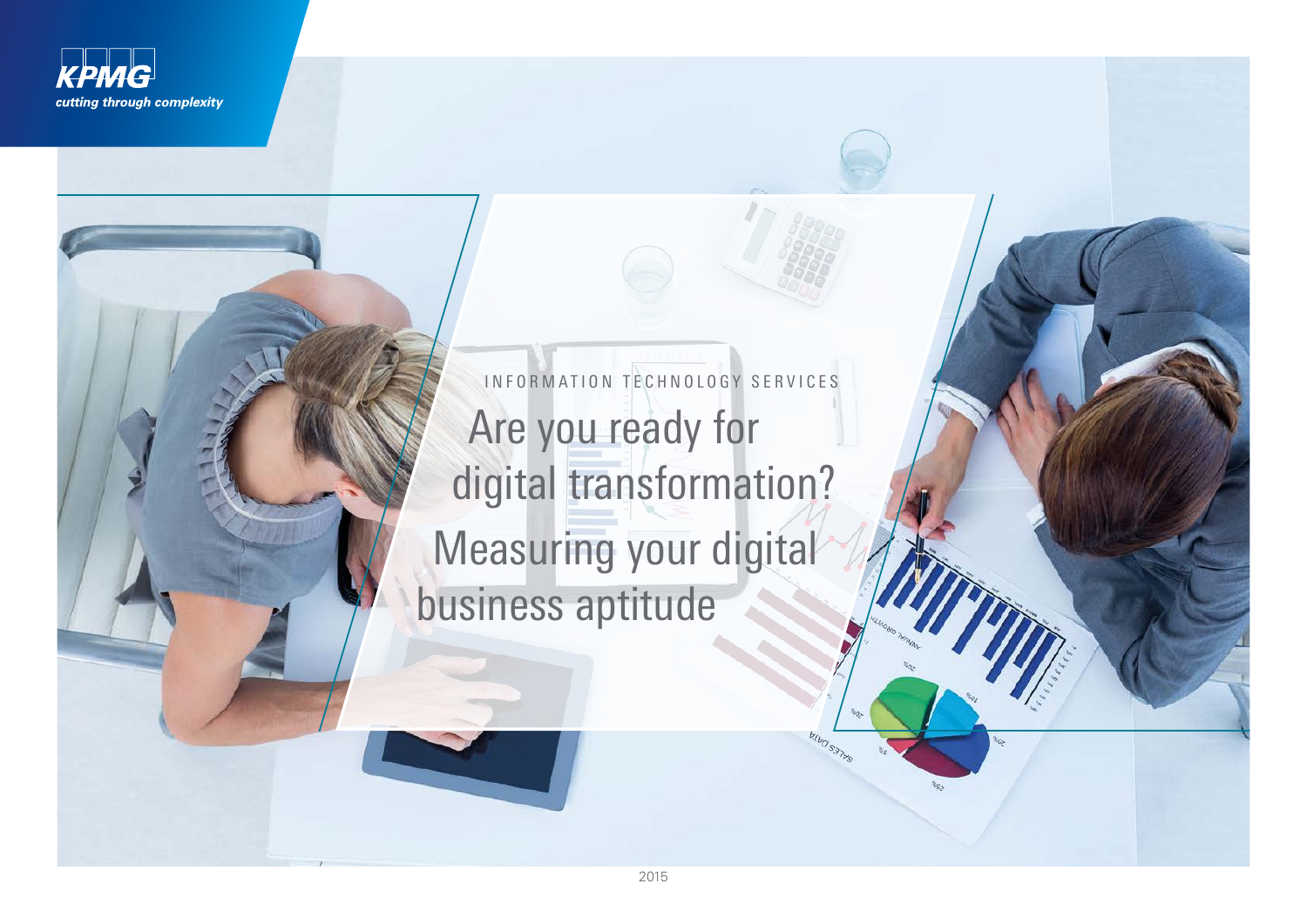

INFORMATION TECHNOLOGY SERVICES Are you ready for digital transformation? Measuring your digital business aptitude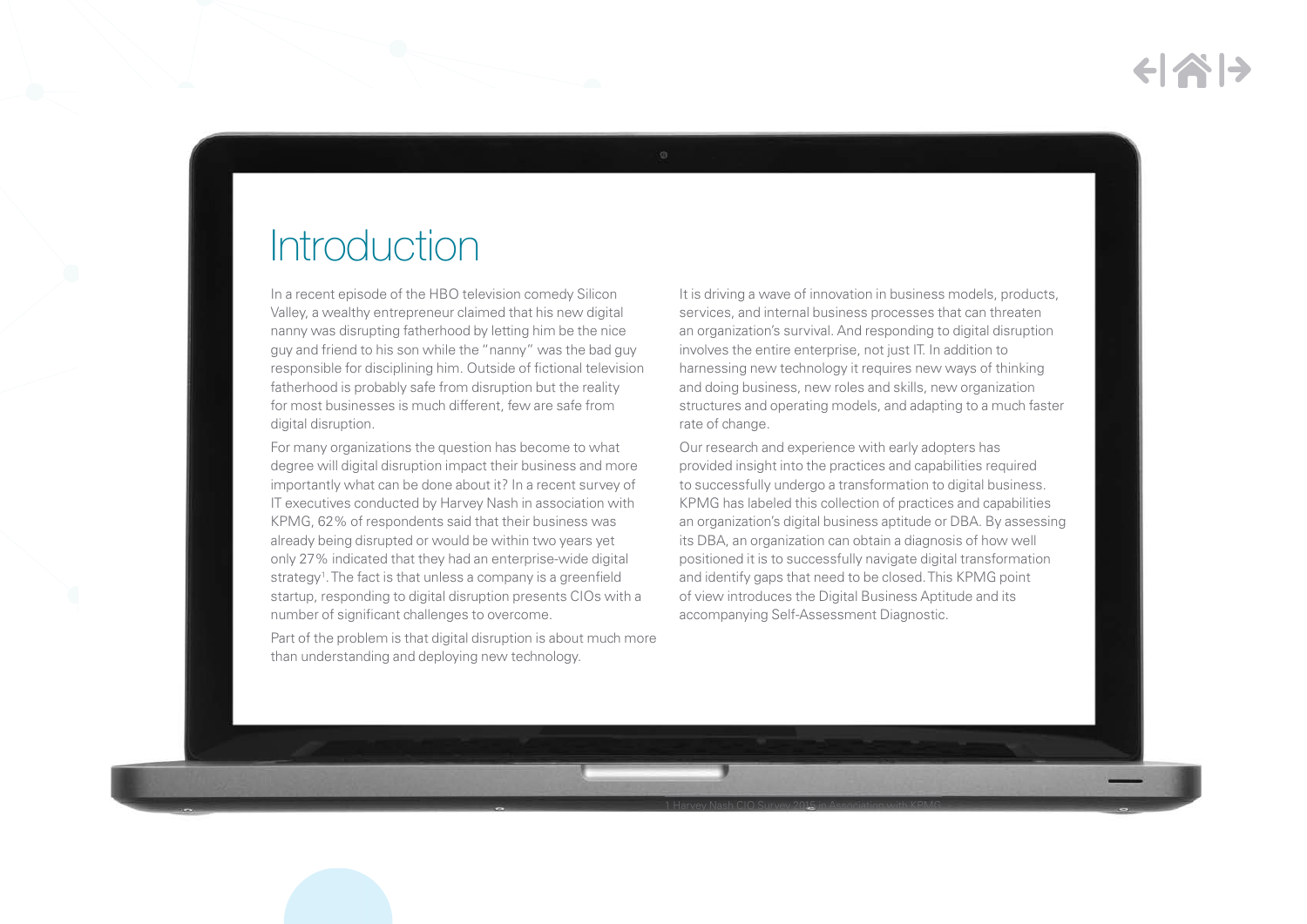## **Introduction**

In a recent episode of the HBO television comedy Silicon Valley, a wealthy entrepreneur claimed that his new digital nanny was disrupting fatherhood by letting him be the nice guy and friend to his son while the "nanny" was the bad guy responsible for disciplining him. Outside of fictional television fatherhood is probably safe from disruption but the reality for most businesses is much different, few are safe from digital disruption.

For many organizations the question has become to what degree will digital disruption impact their business and more importantly what can be done about it? In a recent survey of IT executives conducted by Harvey Nash in association with KPMG, 62% of respondents said that their business was already being disrupted or would be within two years yet only 27% indicated that they had an enterprise-wide digital strategy<sup>1</sup>. The fact is that unless a company is a greenfield startup, responding to digital disruption presents CIOs with a number of significant challenges to overcome.

Part of the problem is that digital disruption is about much more than understanding and deploying new technology.

It is driving a wave of innovation in business models, products, services, and internal business processes that can threaten an organization's survival. And responding to digital disruption involves the entire enterprise, not just IT. In addition to harnessing new technology it requires new ways of thinking and doing business, new roles and skills, new organization structures and operating models, and adapting to a much faster rate of change.

Our research and experience with early adopters has provided insight into the practices and capabilities required to successfully undergo a transformation to digital business. KPMG has labeled this collection of practices and capabilities an organization's digital business aptitude or DBA. By assessing its DBA, an organization can obtain a diagnosis of how well positioned it is to successfully navigate digital transformation and identify gaps that need to be closed. This KPMG point of view introduces the Digital Business Aptitude and its accompanying Self-Assessment Diagnostic.

1 Harvey Nash CIO Survey 2015 in Association with KPMG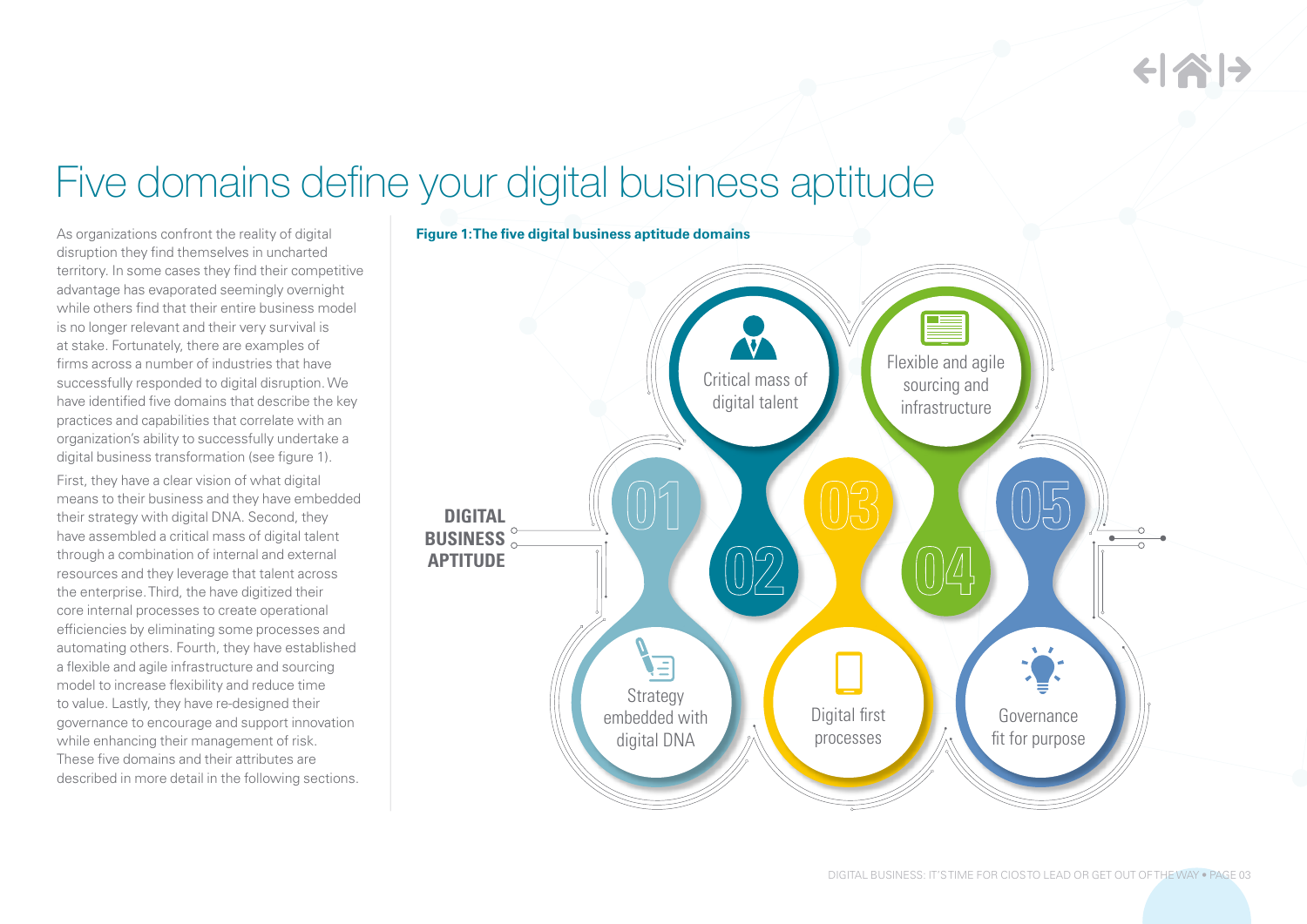# Five domains define your digital business aptitude

As organizations confront the reality of digital disruption they find themselves in uncharted territory. In some cases they find their competitive advantage has evaporated seemingly overnight while others find that their entire business model is no longer relevant and their very survival is at stake. Fortunately, there are examples of firms across a number of industries that have successfully responded to digital disruption. We have identified five domains that describe the key practices and capabilities that correlate with an organization's ability to successfully undertake a digital business transformation (see figure 1).

First, they have a clear vision of what digital means to their business and they have embedded their strategy with digital DNA. Second, they have assembled a critical mass of digital talent through a combination of internal and external resources and they leverage that talent across the enterprise. Third, the have digitized their core internal processes to create operational efficiencies by eliminating some processes and automating others. Fourth, they have established a flexible and agile infrastructure and sourcing model to increase flexibility and reduce time to value. Lastly, they have re-designed their governance to encourage and support innovation while enhancing their management of risk. These five domains and their attributes are described in more detail in the following sections.

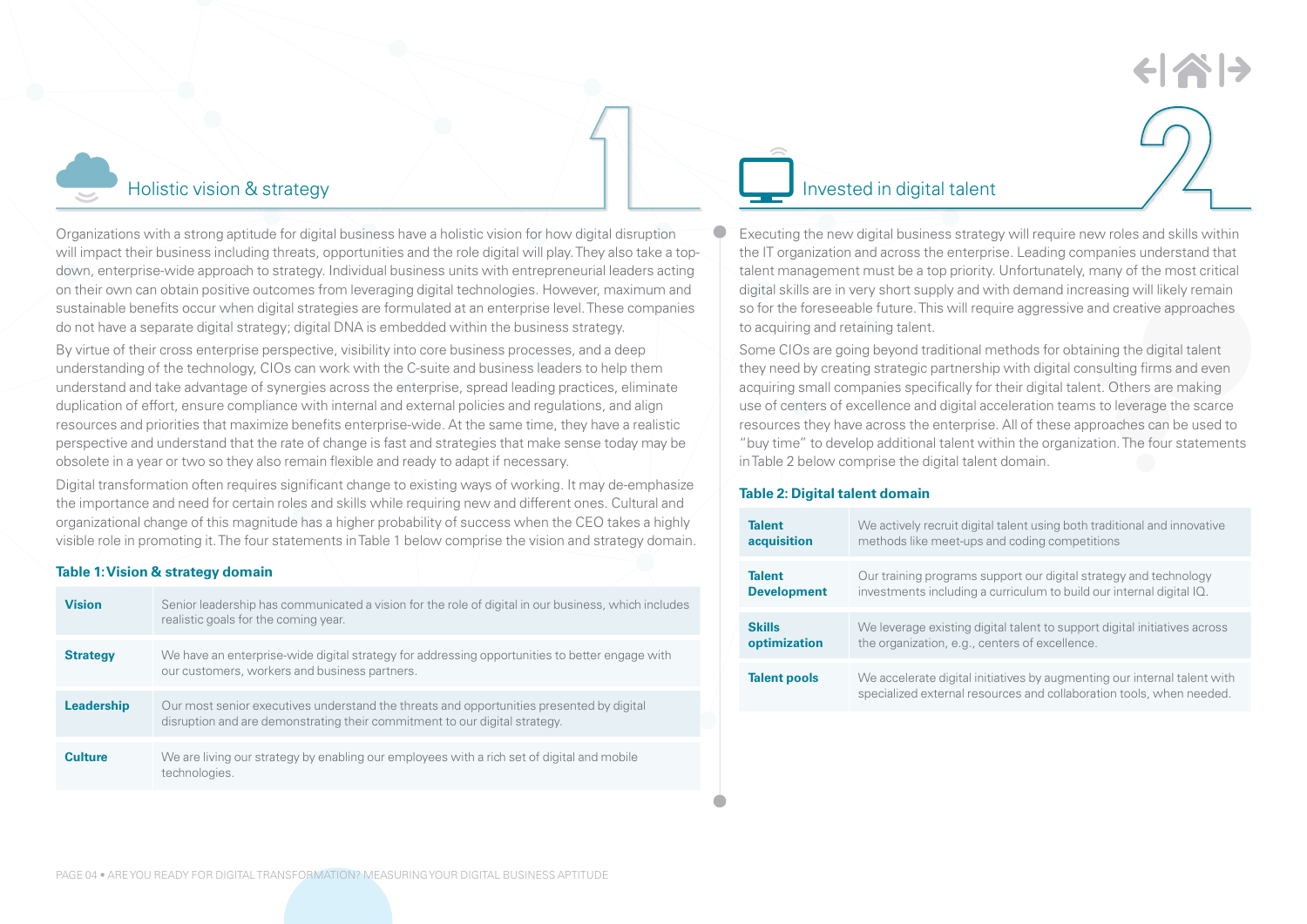

Organizations with a strong aptitude for digital business have a holistic vision for how digital disruption will impact their business including threats, opportunities and the role digital will play. They also take a topdown, enterprise-wide approach to strategy. Individual business units with entrepreneurial leaders acting on their own can obtain positive outcomes from leveraging digital technologies. However, maximum and sustainable benefits occur when digital strategies are formulated at an enterprise level. These companies do not have a separate digital strategy; digital DNA is embedded within the business strategy.

By virtue of their cross enterprise perspective, visibility into core business processes, and a deep understanding of the technology, CIOs can work with the C-suite and business leaders to help them understand and take advantage of synergies across the enterprise, spread leading practices, eliminate duplication of effort, ensure compliance with internal and external policies and regulations, and align resources and priorities that maximize benefits enterprise-wide. At the same time, they have a realistic perspective and understand that the rate of change is fast and strategies that make sense today may be obsolete in a year or two so they also remain flexible and ready to adapt if necessary.

Digital transformation often requires significant change to existing ways of working. It may de-emphasize the importance and need for certain roles and skills while requiring new and different ones. Cultural and organizational change of this magnitude has a higher probability of success when the CEO takes a highly visible role in promoting it. The four statements in Table 1 below comprise the vision and strategy domain.

### **Table 1: Vision & strategy domain**

| <b>Vision</b>   | Senior leadership has communicated a vision for the role of digital in our business, which includes<br>realistic goals for the coming year.                            |
|-----------------|------------------------------------------------------------------------------------------------------------------------------------------------------------------------|
| <b>Strategy</b> | We have an enterprise-wide digital strategy for addressing opportunities to better engage with<br>our customers, workers and business partners.                        |
| Leadership      | Our most senior executives understand the threats and opportunities presented by digital<br>disruption and are demonstrating their commitment to our digital strategy. |
| <b>Culture</b>  | We are living our strategy by enabling our employees with a rich set of digital and mobile<br>technologies.                                                            |



Executing the new digital business strategy will require new roles and skills within the IT organization and across the enterprise. Leading companies understand that talent management must be a top priority. Unfortunately, many of the most critical digital skills are in very short supply and with demand increasing will likely remain so for the foreseeable future. This will require aggressive and creative approaches to acquiring and retaining talent.

Some CIOs are going beyond traditional methods for obtaining the digital talent they need by creating strategic partnership with digital consulting firms and even acquiring small companies specifically for their digital talent. Others are making use of centers of excellence and digital acceleration teams to leverage the scarce resources they have across the enterprise. All of these approaches can be used to "buy time" to develop additional talent within the organization. The four statements in Table 2 below comprise the digital talent domain.

### **Table 2: Digital talent domain**

| <b>Talent</b>       | We actively recruit digital talent using both traditional and innovative                                                                         |
|---------------------|--------------------------------------------------------------------------------------------------------------------------------------------------|
| acquisition         | methods like meet-ups and coding competitions                                                                                                    |
| <b>Talent</b>       | Our training programs support our digital strategy and technology                                                                                |
| <b>Development</b>  | investments including a curriculum to build our internal digital IQ.                                                                             |
| <b>Skills</b>       | We leverage existing digital talent to support digital initiatives across                                                                        |
| optimization        | the organization, e.g., centers of excellence.                                                                                                   |
| <b>Talent pools</b> | We accelerate digital initiatives by augmenting our internal talent with<br>specialized external resources and collaboration tools, when needed. |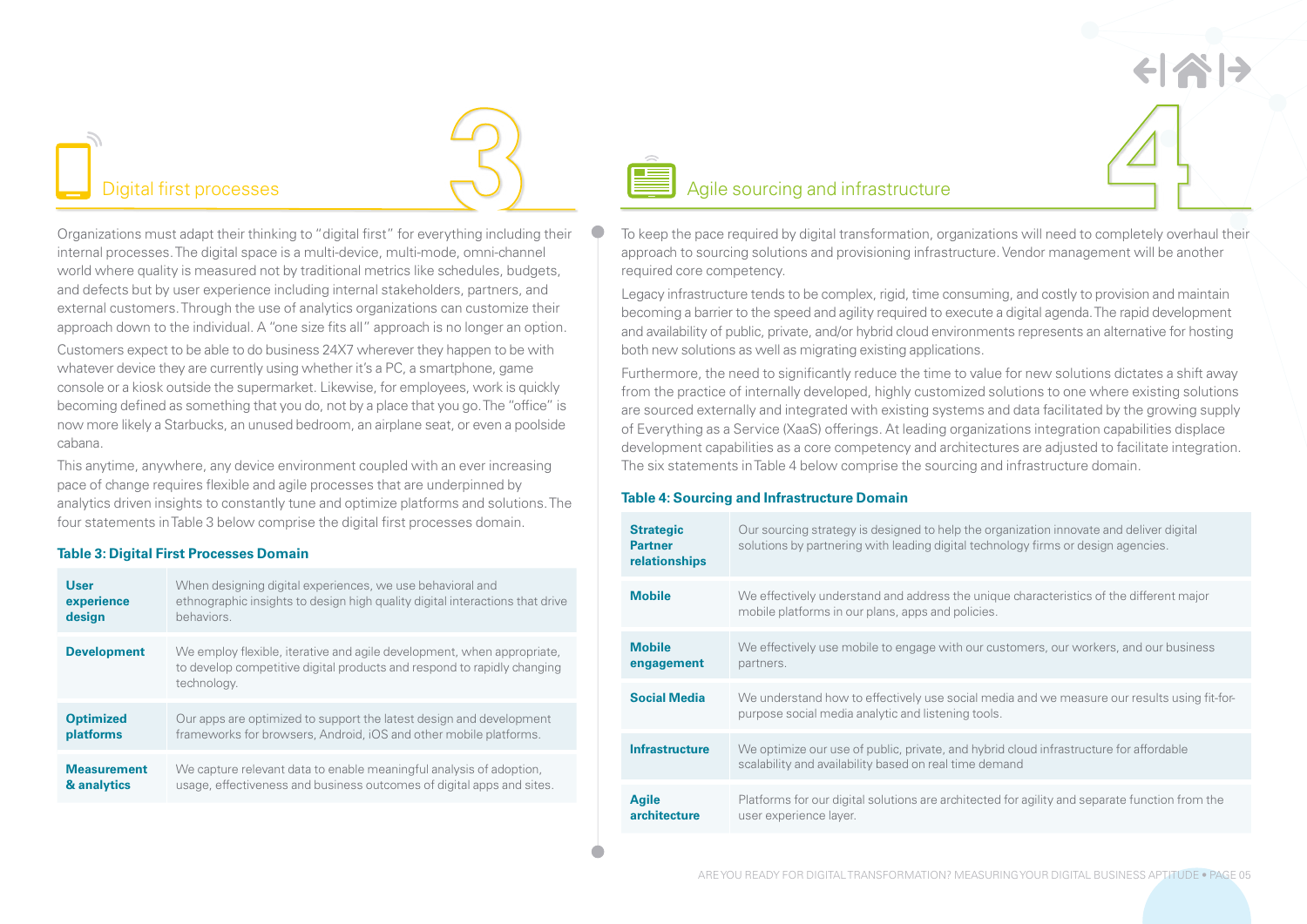Organizations must adapt their thinking to "digital first" for everything including their internal processes. The digital space is a multi-device, multi-mode, omni-channel world where quality is measured not by traditional metrics like schedules, budgets, and defects but by user experience including internal stakeholders, partners, and external customers. Through the use of analytics organizations can customize their approach down to the individual. A "one size fits all" approach is no longer an option.

Customers expect to be able to do business 24X7 wherever they happen to be with whatever device they are currently using whether it's a PC, a smartphone, game console or a kiosk outside the supermarket. Likewise, for employees, work is quickly becoming defined as something that you do, not by a place that you go. The "office" is now more likely a Starbucks, an unused bedroom, an airplane seat, or even a poolside cabana.

This anytime, anywhere, any device environment coupled with an ever increasing pace of change requires flexible and agile processes that are underpinned by analytics driven insights to constantly tune and optimize platforms and solutions. The four statements in Table 3 below comprise the digital first processes domain.

### **Table 3: Digital First Processes Domain**

| <b>User</b>        | When designing digital experiences, we use behavioral and                                                                                                        |
|--------------------|------------------------------------------------------------------------------------------------------------------------------------------------------------------|
| experience         | ethnographic insights to design high quality digital interactions that drive                                                                                     |
| design             | behaviors.                                                                                                                                                       |
| <b>Development</b> | We employ flexible, iterative and agile development, when appropriate,<br>to develop competitive digital products and respond to rapidly changing<br>technology. |
| <b>Optimized</b>   | Our apps are optimized to support the latest design and development                                                                                              |
| platforms          | frameworks for browsers, Android, iOS and other mobile platforms.                                                                                                |
| <b>Measurement</b> | We capture relevant data to enable meaningful analysis of adoption,                                                                                              |
| & analytics        | usage, effectiveness and business outcomes of digital apps and sites.                                                                                            |



## Digital first processes and  $\bigcup$  and  $\bigcup$  agile sourcing and infrastructure

To keep the pace required by digital transformation, organizations will need to completely overhaul their approach to sourcing solutions and provisioning infrastructure. Vendor management will be another required core competency.

Legacy infrastructure tends to be complex, rigid, time consuming, and costly to provision and maintain becoming a barrier to the speed and agility required to execute a digital agenda. The rapid development and availability of public, private, and/or hybrid cloud environments represents an alternative for hosting both new solutions as well as migrating existing applications.

Furthermore, the need to significantly reduce the time to value for new solutions dictates a shift away from the practice of internally developed, highly customized solutions to one where existing solutions are sourced externally and integrated with existing systems and data facilitated by the growing supply of Everything as a Service (XaaS) offerings. At leading organizations integration capabilities displace development capabilities as a core competency and architectures are adjusted to facilitate integration. The six statements in Table 4 below comprise the sourcing and infrastructure domain.

### **Table 4: Sourcing and Infrastructure Domain**

| <b>Strategic</b><br><b>Partner</b><br>relationships | Our sourcing strategy is designed to help the organization innovate and deliver digital<br>solutions by partnering with leading digital technology firms or design agencies. |
|-----------------------------------------------------|------------------------------------------------------------------------------------------------------------------------------------------------------------------------------|
| <b>Mobile</b>                                       | We effectively understand and address the unique characteristics of the different major<br>mobile platforms in our plans, apps and policies.                                 |
| <b>Mobile</b><br>engagement                         | We effectively use mobile to engage with our customers, our workers, and our business<br>partners.                                                                           |
| <b>Social Media</b>                                 | We understand how to effectively use social media and we measure our results using fit-for-<br>purpose social media analytic and listening tools.                            |
| <b>Infrastructure</b>                               | We optimize our use of public, private, and hybrid cloud infrastructure for affordable<br>scalability and availability based on real time demand                             |
| <b>Agile</b><br>architecture                        | Platforms for our digital solutions are architected for agility and separate function from the<br>user experience layer.                                                     |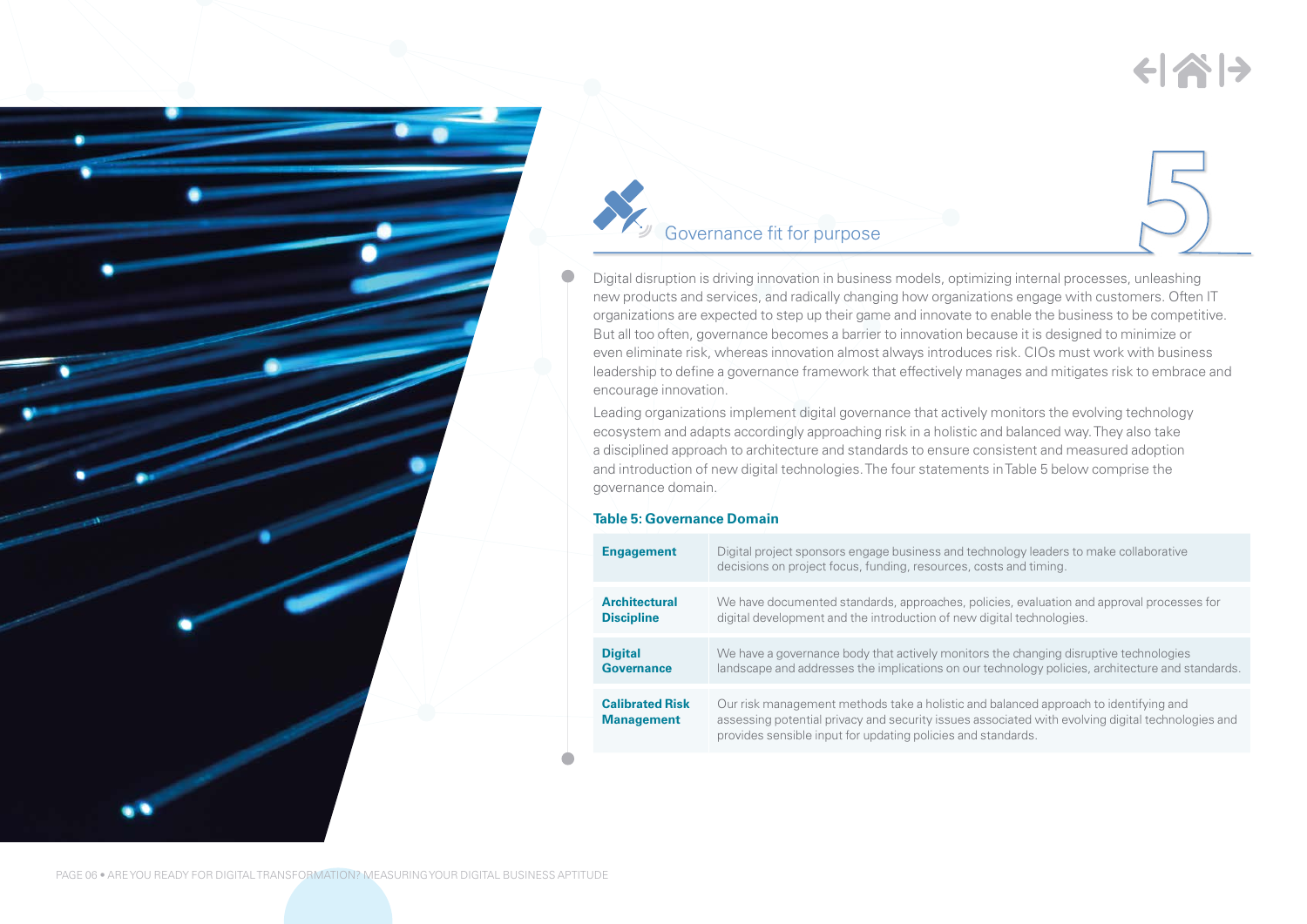# $\left\langle \left\vert \mathbf{A}\right\vert \right\rangle$



## Governance fit for purpose

Digital disruption is driving innovation in business models, optimizing internal processes, unleashing new products and services, and radically changing how organizations engage with customers. Often IT organizations are expected to step up their game and innovate to enable the business to be competitive. But all too often, governance becomes a barrier to innovation because it is designed to minimize or even eliminate risk, whereas innovation almost always introduces risk. CIOs must work with business leadership to define a governance framework that effectively manages and mitigates risk to embrace and encourage innovation.

Leading organizations implement digital governance that actively monitors the evolving technology ecosystem and adapts accordingly approaching risk in a holistic and balanced way. They also take a disciplined approach to architecture and standards to ensure consistent and measured adoption and introduction of new digital technologies. The four statements in Table 5 below comprise the governance domain.

### **Table 5: Governance Domain**

| <b>Engagement</b>                           | Digital project sponsors engage business and technology leaders to make collaborative<br>decisions on project focus, funding, resources, costs and timing.                                                                                                |
|---------------------------------------------|-----------------------------------------------------------------------------------------------------------------------------------------------------------------------------------------------------------------------------------------------------------|
| <b>Architectural</b>                        | We have documented standards, approaches, policies, evaluation and approval processes for                                                                                                                                                                 |
| <b>Discipline</b>                           | digital development and the introduction of new digital technologies.                                                                                                                                                                                     |
| <b>Digital</b>                              | We have a governance body that actively monitors the changing disruptive technologies                                                                                                                                                                     |
| <b>Governance</b>                           | landscape and addresses the implications on our technology policies, architecture and standards.                                                                                                                                                          |
| <b>Calibrated Risk</b><br><b>Management</b> | Our risk management methods take a holistic and balanced approach to identifying and<br>assessing potential privacy and security issues associated with evolving digital technologies and<br>provides sensible input for updating policies and standards. |

PAGE 06 • ARE YOU READY FOR DIGITAL TRANSFORMATION? MEASURING YOUR DIGITAL BUSINESS APTITUDE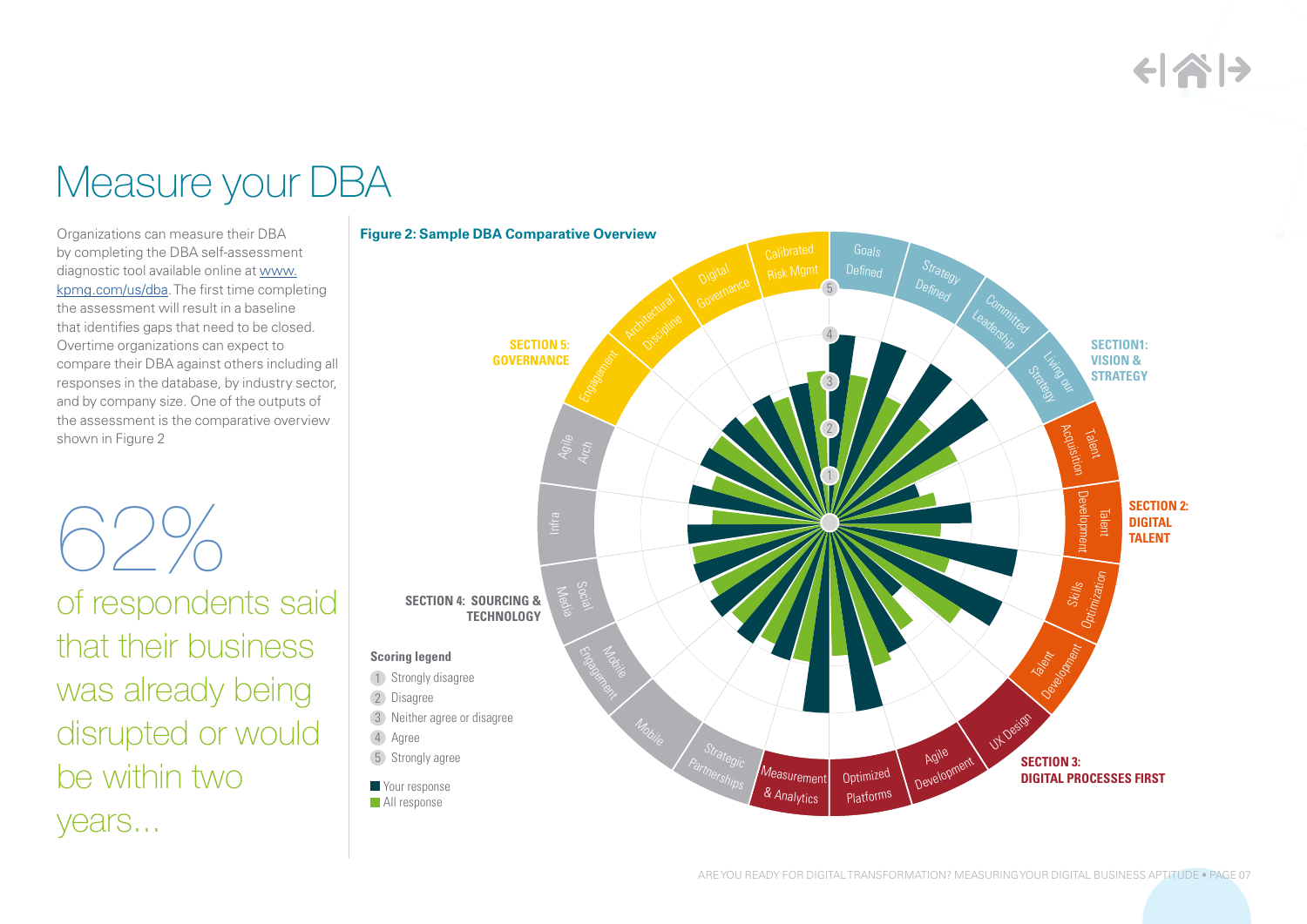# $\left\langle \left\vert \left\langle \right\vert \right\rangle \right\rangle$

# Measure your DBA

Organizations can measure their DBA by completing the DBA self-assessment diagnostic tool available online at [www.](www.kpmg.com/us/dba) [kpmg.com/us/dba](www.kpmg.com/us/dba). The first time completing the assessment will result in a baseline that identifies gaps that need to be closed. Overtime organizations can expect to compare their DBA against others including all responses in the database, by industry sector, and by company size. One of the outputs of the assessment is the comparative overview shown in Figure 2

62% of respondents said that their business was already being disrupted or would be within two years...